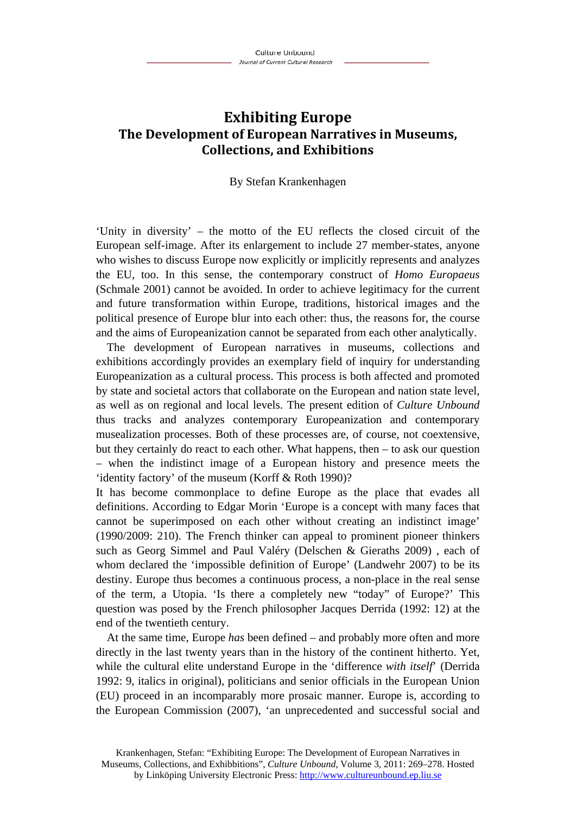# **Exhibiting Europe The Development of European Narratives in Museums, Collections, and Exhibitions**

#### By Stefan Krankenhagen

'Unity in diversity' – the motto of the EU reflects the closed circuit of the European self-image. After its enlargement to include 27 member-states, anyone who wishes to discuss Europe now explicitly or implicitly represents and analyzes the EU, too. In this sense, the contemporary construct of *Homo Europaeus* (Schmale 2001) cannot be avoided. In order to achieve legitimacy for the current and future transformation within Europe, traditions, historical images and the political presence of Europe blur into each other: thus, the reasons for, the course and the aims of Europeanization cannot be separated from each other analytically.

The development of European narratives in museums, collections and exhibitions accordingly provides an exemplary field of inquiry for understanding Europeanization as a cultural process. This process is both affected and promoted by state and societal actors that collaborate on the European and nation state level, as well as on regional and local levels. The present edition of *Culture Unbound* thus tracks and analyzes contemporary Europeanization and contemporary musealization processes. Both of these processes are, of course, not coextensive, but they certainly do react to each other. What happens, then – to ask our question – when the indistinct image of a European history and presence meets the 'identity factory' of the museum (Korff & Roth 1990)?

It has become commonplace to define Europe as the place that evades all definitions. According to Edgar Morin 'Europe is a concept with many faces that cannot be superimposed on each other without creating an indistinct image' (1990/2009: 210). The French thinker can appeal to prominent pioneer thinkers such as Georg Simmel and Paul Valéry (Delschen & Gieraths 2009) , each of whom declared the 'impossible definition of Europe' (Landwehr 2007) to be its destiny. Europe thus becomes a continuous process, a non-place in the real sense of the term, a Utopia. 'Is there a completely new "today" of Europe?' This question was posed by the French philosopher Jacques Derrida (1992: 12) at the end of the twentieth century.

At the same time, Europe *has* been defined – and probably more often and more directly in the last twenty years than in the history of the continent hitherto. Yet, while the cultural elite understand Europe in the 'difference *with itself*' (Derrida 1992: 9, italics in original), politicians and senior officials in the European Union (EU) proceed in an incomparably more prosaic manner. Europe is, according to the European Commission (2007), 'an unprecedented and successful social and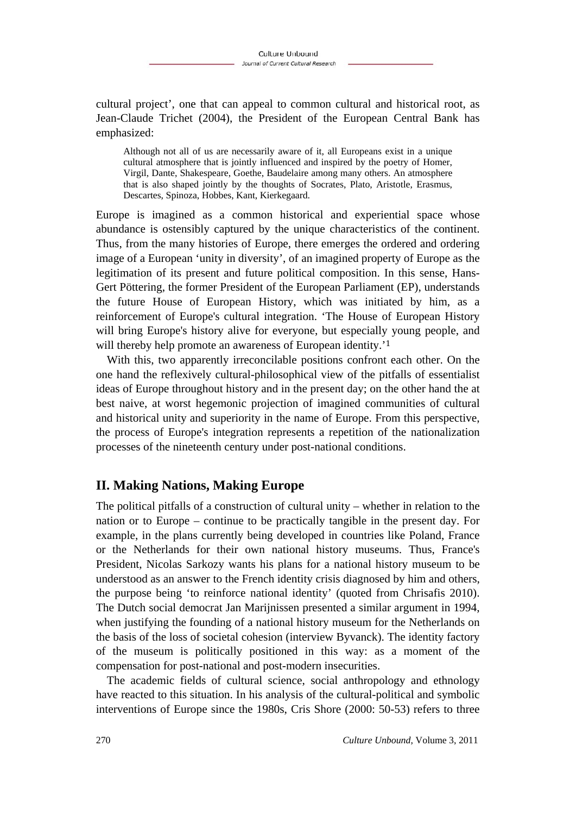cultural project', one that can appeal to common cultural and historical root, as Jean-Claude Trichet (2004), the President of the European Central Bank has emphasized:

Although not all of us are necessarily aware of it, all Europeans exist in a unique cultural atmosphere that is jointly influenced and inspired by the poetry of Homer, Virgil, Dante, Shakespeare, Goethe, Baudelaire among many others. An atmosphere that is also shaped jointly by the thoughts of Socrates, Plato, Aristotle, Erasmus, Descartes, Spinoza, Hobbes, Kant, Kierkegaard.

Europe is imagined as a common historical and experiential space whose abundance is ostensibly captured by the unique characteristics of the continent. Thus, from the many histories of Europe, there emerges the ordered and ordering image of a European 'unity in diversity', of an imagined property of Europe as the legitimation of its present and future political composition. In this sense, Hans-Gert Pöttering, the former President of the European Parliament (EP), understands the future House of European History, which was initiated by him, as a reinforcement of Europe's cultural integration. 'The House of European History will bring Europe's history alive for everyone, but especially young people, and will thereby help promote an awareness of European identity.<sup>'1</sup>

With this, two apparently irreconcilable positions confront each other. On the one hand the reflexively cultural-philosophical view of the pitfalls of essentialist ideas of Europe throughout history and in the present day; on the other hand the at best naive, at worst hegemonic projection of imagined communities of cultural and historical unity and superiority in the name of Europe. From this perspective, the process of Europe's integration represents a repetition of the nationalization processes of the nineteenth century under post-national conditions.

### **II. Making Nations, Making Europe**

The political pitfalls of a construction of cultural unity – whether in relation to the nation or to Europe – continue to be practically tangible in the present day. For example, in the plans currently being developed in countries like Poland, France or the Netherlands for their own national history museums. Thus, France's President, Nicolas Sarkozy wants his plans for a national history museum to be understood as an answer to the French identity crisis diagnosed by him and others, the purpose being 'to reinforce national identity' (quoted from Chrisafis 2010). The Dutch social democrat Jan Marijnissen presented a similar argument in 1994, when justifying the founding of a national history museum for the Netherlands on the basis of the loss of societal cohesion (interview Byvanck). The identity factory of the museum is politically positioned in this way: as a moment of the compensation for post-national and post-modern insecurities.

The academic fields of cultural science, social anthropology and ethnology have reacted to this situation. In his analysis of the cultural-political and symbolic interventions of Europe since the 1980s, Cris Shore (2000: 50-53) refers to three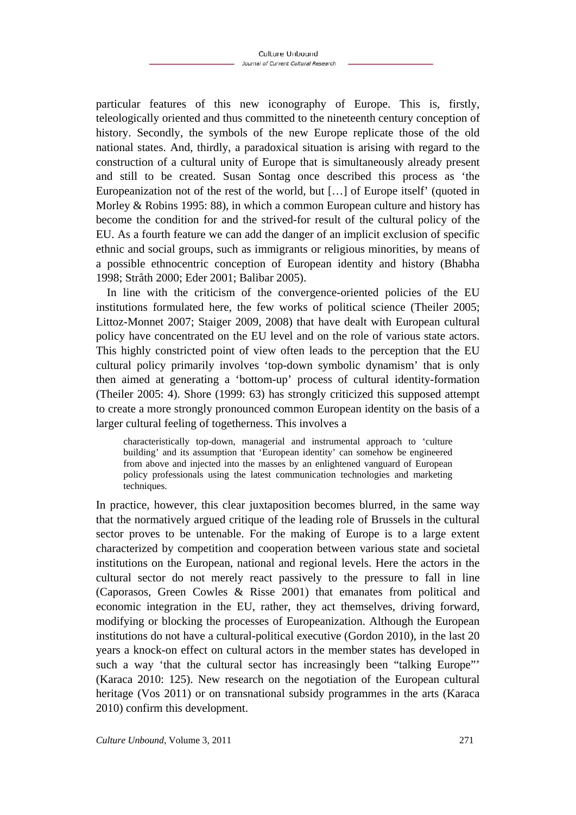particular features of this new iconography of Europe. This is, firstly, teleologically oriented and thus committed to the nineteenth century conception of history. Secondly, the symbols of the new Europe replicate those of the old national states. And, thirdly, a paradoxical situation is arising with regard to the construction of a cultural unity of Europe that is simultaneously already present and still to be created. Susan Sontag once described this process as 'the Europeanization not of the rest of the world, but […] of Europe itself' (quoted in Morley & Robins 1995: 88), in which a common European culture and history has become the condition for and the strived-for result of the cultural policy of the EU. As a fourth feature we can add the danger of an implicit exclusion of specific ethnic and social groups, such as immigrants or religious minorities, by means of a possible ethnocentric conception of European identity and history (Bhabha 1998; Stråth 2000; Eder 2001; Balibar 2005).

In line with the criticism of the convergence-oriented policies of the EU institutions formulated here, the few works of political science (Theiler 2005; Littoz-Monnet 2007; Staiger 2009, 2008) that have dealt with European cultural policy have concentrated on the EU level and on the role of various state actors. This highly constricted point of view often leads to the perception that the EU cultural policy primarily involves 'top-down symbolic dynamism' that is only then aimed at generating a 'bottom-up' process of cultural identity-formation (Theiler 2005: 4). Shore (1999: 63) has strongly criticized this supposed attempt to create a more strongly pronounced common European identity on the basis of a larger cultural feeling of togetherness. This involves a

characteristically top-down, managerial and instrumental approach to 'culture building' and its assumption that 'European identity' can somehow be engineered from above and injected into the masses by an enlightened vanguard of European policy professionals using the latest communication technologies and marketing techniques.

In practice, however, this clear juxtaposition becomes blurred, in the same way that the normatively argued critique of the leading role of Brussels in the cultural sector proves to be untenable. For the making of Europe is to a large extent characterized by competition and cooperation between various state and societal institutions on the European, national and regional levels. Here the actors in the cultural sector do not merely react passively to the pressure to fall in line (Caporasos, Green Cowles & Risse 2001) that emanates from political and economic integration in the EU, rather, they act themselves, driving forward, modifying or blocking the processes of Europeanization. Although the European institutions do not have a cultural-political executive (Gordon 2010), in the last 20 years a knock-on effect on cultural actors in the member states has developed in such a way 'that the cultural sector has increasingly been "talking Europe"' (Karaca 2010: 125). New research on the negotiation of the European cultural heritage (Vos 2011) or on transnational subsidy programmes in the arts (Karaca 2010) confirm this development.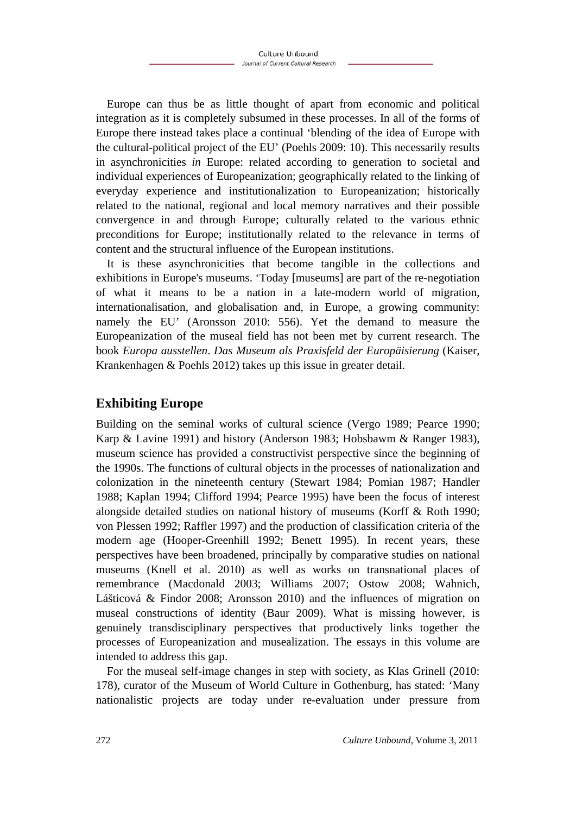Europe can thus be as little thought of apart from economic and political integration as it is completely subsumed in these processes. In all of the forms of Europe there instead takes place a continual 'blending of the idea of Europe with the cultural-political project of the EU' (Poehls 2009: 10). This necessarily results in asynchronicities *in* Europe: related according to generation to societal and individual experiences of Europeanization; geographically related to the linking of everyday experience and institutionalization to Europeanization; historically related to the national, regional and local memory narratives and their possible convergence in and through Europe; culturally related to the various ethnic preconditions for Europe; institutionally related to the relevance in terms of content and the structural influence of the European institutions.

It is these asynchronicities that become tangible in the collections and exhibitions in Europe's museums. 'Today [museums] are part of the re-negotiation of what it means to be a nation in a late-modern world of migration, internationalisation, and globalisation and, in Europe, a growing community: namely the EU' (Aronsson 2010: 556). Yet the demand to measure the Europeanization of the museal field has not been met by current research. The book *Europa ausstellen*. *Das Museum als Praxisfeld der Europäisierung* (Kaiser, Krankenhagen & Poehls 2012) takes up this issue in greater detail.

## **Exhibiting Europe**

Building on the seminal works of cultural science (Vergo 1989; Pearce 1990; Karp & Lavine 1991) and history (Anderson 1983; Hobsbawm & Ranger 1983), museum science has provided a constructivist perspective since the beginning of the 1990s. The functions of cultural objects in the processes of nationalization and colonization in the nineteenth century (Stewart 1984; Pomian 1987; Handler 1988; Kaplan 1994; Clifford 1994; Pearce 1995) have been the focus of interest alongside detailed studies on national history of museums (Korff & Roth 1990; von Plessen 1992; Raffler 1997) and the production of classification criteria of the modern age (Hooper-Greenhill 1992; Benett 1995). In recent years, these perspectives have been broadened, principally by comparative studies on national museums (Knell et al. 2010) as well as works on transnational places of remembrance (Macdonald 2003; Williams 2007; Ostow 2008; Wahnich, Lášticová & Findor 2008; Aronsson 2010) and the influences of migration on museal constructions of identity (Baur 2009). What is missing however, is genuinely transdisciplinary perspectives that productively links together the processes of Europeanization and musealization. The essays in this volume are intended to address this gap.

For the museal self-image changes in step with society, as Klas Grinell (2010: 178), curator of the Museum of World Culture in Gothenburg, has stated: 'Many nationalistic projects are today under re-evaluation under pressure from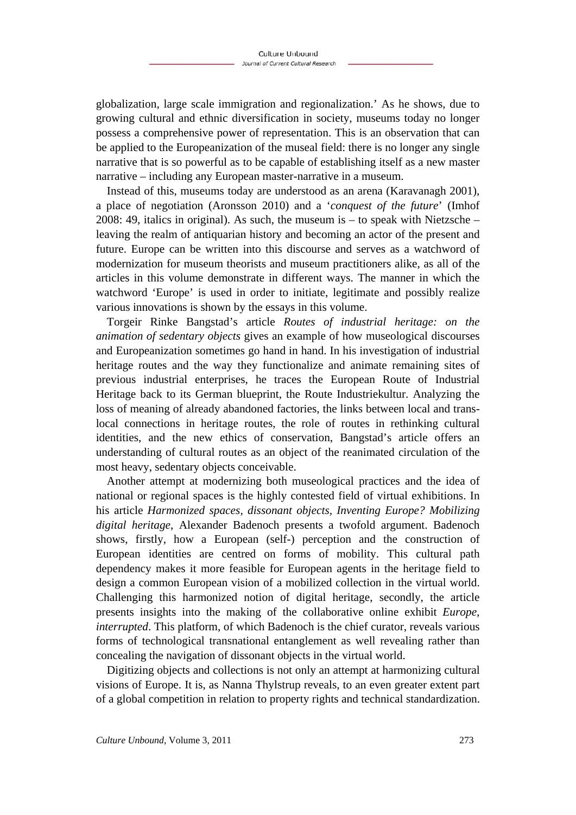globalization, large scale immigration and regionalization.' As he shows, due to growing cultural and ethnic diversification in society, museums today no longer possess a comprehensive power of representation. This is an observation that can be applied to the Europeanization of the museal field: there is no longer any single narrative that is so powerful as to be capable of establishing itself as a new master narrative – including any European master-narrative in a museum.

Instead of this, museums today are understood as an arena (Karavanagh 2001), a place of negotiation (Aronsson 2010) and a '*conquest of the future*' (Imhof 2008: 49, italics in original). As such, the museum is – to speak with Nietzsche – leaving the realm of antiquarian history and becoming an actor of the present and future. Europe can be written into this discourse and serves as a watchword of modernization for museum theorists and museum practitioners alike, as all of the articles in this volume demonstrate in different ways. The manner in which the watchword 'Europe' is used in order to initiate, legitimate and possibly realize various innovations is shown by the essays in this volume.

Torgeir Rinke Bangstad's article *Routes of industrial heritage: on the animation of sedentary objects* gives an example of how museological discourses and Europeanization sometimes go hand in hand. In his investigation of industrial heritage routes and the way they functionalize and animate remaining sites of previous industrial enterprises, he traces the European Route of Industrial Heritage back to its German blueprint, the Route Industriekultur. Analyzing the loss of meaning of already abandoned factories, the links between local and translocal connections in heritage routes, the role of routes in rethinking cultural identities, and the new ethics of conservation, Bangstad's article offers an understanding of cultural routes as an object of the reanimated circulation of the most heavy, sedentary objects conceivable.

Another attempt at modernizing both museological practices and the idea of national or regional spaces is the highly contested field of virtual exhibitions. In his article *Harmonized spaces, dissonant objects, Inventing Europe? Mobilizing digital heritage*, Alexander Badenoch presents a twofold argument. Badenoch shows, firstly, how a European (self-) perception and the construction of European identities are centred on forms of mobility. This cultural path dependency makes it more feasible for European agents in the heritage field to design a common European vision of a mobilized collection in the virtual world. Challenging this harmonized notion of digital heritage, secondly, the article presents insights into the making of the collaborative online exhibit *Europe, interrupted*. This platform, of which Badenoch is the chief curator, reveals various forms of technological transnational entanglement as well revealing rather than concealing the navigation of dissonant objects in the virtual world.

Digitizing objects and collections is not only an attempt at harmonizing cultural visions of Europe. It is, as Nanna Thylstrup reveals, to an even greater extent part of a global competition in relation to property rights and technical standardization.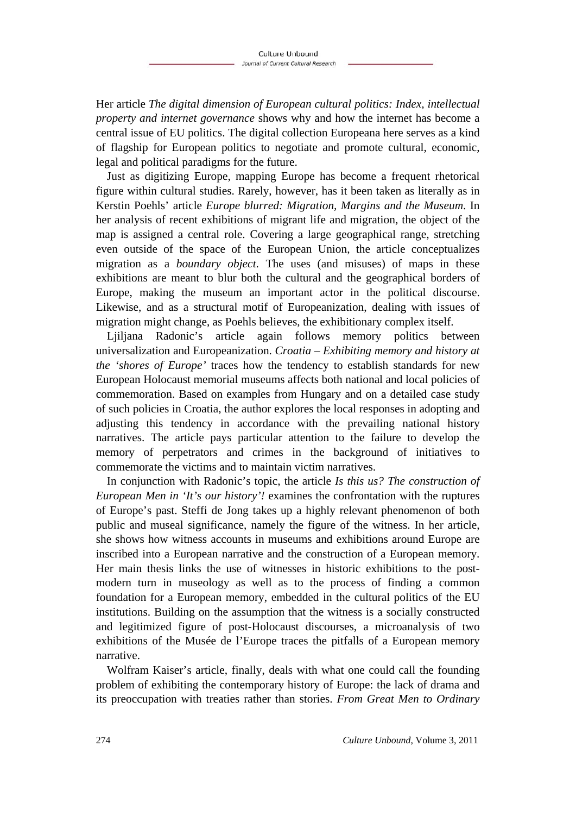Her article *The digital dimension of European cultural politics: Index, intellectual property and internet governance* shows why and how the internet has become a central issue of EU politics. The digital collection Europeana here serves as a kind of flagship for European politics to negotiate and promote cultural, economic, legal and political paradigms for the future.

Just as digitizing Europe, mapping Europe has become a frequent rhetorical figure within cultural studies. Rarely, however, has it been taken as literally as in Kerstin Poehls' article *Europe blurred: Migration, Margins and the Museum*. In her analysis of recent exhibitions of migrant life and migration, the object of the map is assigned a central role. Covering a large geographical range, stretching even outside of the space of the European Union, the article conceptualizes migration as a *boundary object*. The uses (and misuses) of maps in these exhibitions are meant to blur both the cultural and the geographical borders of Europe, making the museum an important actor in the political discourse. Likewise, and as a structural motif of Europeanization, dealing with issues of migration might change, as Poehls believes, the exhibitionary complex itself.

Ljiljana Radonic's article again follows memory politics between universalization and Europeanization. *Croatia – Exhibiting memory and history at the 'shores of Europe'* traces how the tendency to establish standards for new European Holocaust memorial museums affects both national and local policies of commemoration. Based on examples from Hungary and on a detailed case study of such policies in Croatia, the author explores the local responses in adopting and adjusting this tendency in accordance with the prevailing national history narratives. The article pays particular attention to the failure to develop the memory of perpetrators and crimes in the background of initiatives to commemorate the victims and to maintain victim narratives.

In conjunction with Radonic's topic, the article *Is this us? The construction of European Men in 'It's our history'!* examines the confrontation with the ruptures of Europe's past. Steffi de Jong takes up a highly relevant phenomenon of both public and museal significance, namely the figure of the witness. In her article, she shows how witness accounts in museums and exhibitions around Europe are inscribed into a European narrative and the construction of a European memory. Her main thesis links the use of witnesses in historic exhibitions to the postmodern turn in museology as well as to the process of finding a common foundation for a European memory, embedded in the cultural politics of the EU institutions. Building on the assumption that the witness is a socially constructed and legitimized figure of post-Holocaust discourses, a microanalysis of two exhibitions of the Musée de l'Europe traces the pitfalls of a European memory narrative.

Wolfram Kaiser's article, finally, deals with what one could call the founding problem of exhibiting the contemporary history of Europe: the lack of drama and its preoccupation with treaties rather than stories. *From Great Men to Ordinary*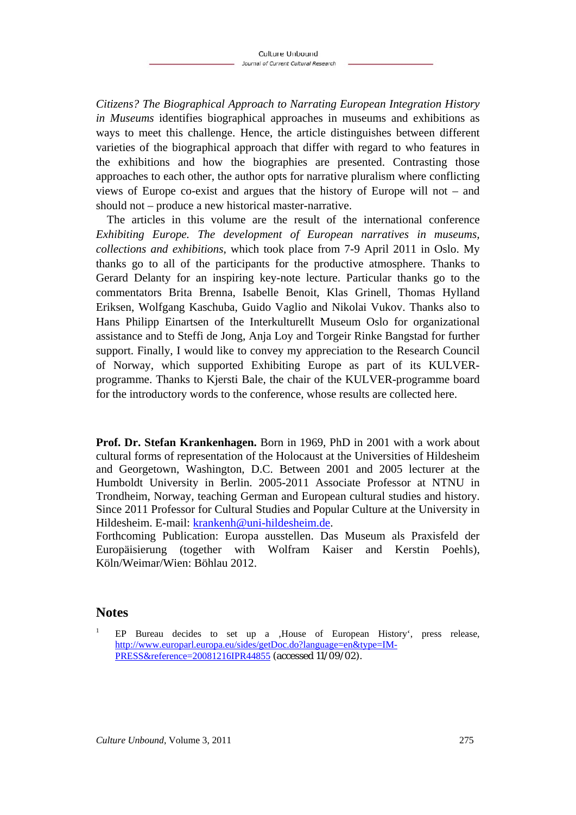*Citizens? The Biographical Approach to Narrating European Integration History in Museums* identifies biographical approaches in museums and exhibitions as ways to meet this challenge. Hence, the article distinguishes between different varieties of the biographical approach that differ with regard to who features in the exhibitions and how the biographies are presented. Contrasting those approaches to each other, the author opts for narrative pluralism where conflicting views of Europe co-exist and argues that the history of Europe will not – and should not – produce a new historical master-narrative.

The articles in this volume are the result of the international conference *Exhibiting Europe. The development of European narratives in museums, collections and exhibitions*, which took place from 7-9 April 2011 in Oslo. My thanks go to all of the participants for the productive atmosphere. Thanks to Gerard Delanty for an inspiring key-note lecture. Particular thanks go to the commentators Brita Brenna, Isabelle Benoit, Klas Grinell, Thomas Hylland Eriksen, Wolfgang Kaschuba, Guido Vaglio and Nikolai Vukov. Thanks also to Hans Philipp Einartsen of the Interkulturellt Museum Oslo for organizational assistance and to Steffi de Jong, Anja Loy and Torgeir Rinke Bangstad for further support. Finally, I would like to convey my appreciation to the Research Council of Norway, which supported Exhibiting Europe as part of its KULVERprogramme. Thanks to Kjersti Bale, the chair of the KULVER-programme board for the introductory words to the conference, whose results are collected here.

**Prof. Dr. Stefan Krankenhagen.** Born in 1969, PhD in 2001 with a work about cultural forms of representation of the Holocaust at the Universities of Hildesheim and Georgetown, Washington, D.C. Between 2001 and 2005 lecturer at the Humboldt University in Berlin. 2005-2011 Associate Professor at NTNU in Trondheim, Norway, teaching German and European cultural studies and history. Since 2011 Professor for Cultural Studies and Popular Culture at the University in Hildesheim. E-mail: krankenh@uni-hildesheim.de.

Forthcoming Publication: Europa ausstellen. Das Museum als Praxisfeld der Europäisierung (together with Wolfram Kaiser and Kerstin Poehls), Köln/Weimar/Wien: Böhlau 2012.

### **Notes**

1

EP Bureau decides to set up a , House of European History', press release, http://www.europarl.europa.eu/sides/getDoc.do?language=en&type=IM-PRESS&reference=20081216IPR44855 (accessed 11/09/02).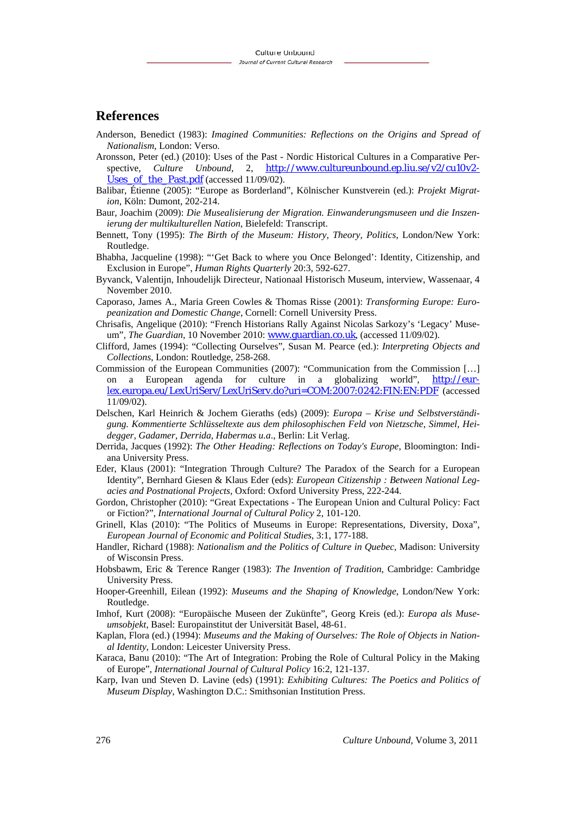#### **References**

- Anderson, Benedict (1983): *Imagined Communities: Reflections on the Origins and Spread of Nationalism*, London: Verso.
- Aronsson, Peter (ed.) (2010): Uses of the Past Nordic Historical Cultures in a Comparative Perspective, *Culture Unbound*, 2, http://www.cultureunbound.ep.liu.se/v2/cu10v2- Uses of the Past.pdf (accessed 11/09/02).
- Balibar, Étienne (2005): "Europe as Borderland", Kölnischer Kunstverein (ed.): *Projekt Migration*, Köln: Dumont, 202-214.

Baur, Joachim (2009): *Die Musealisierung der Migration. Einwanderungsmuseen und die Inszenierung der multikulturellen Nation*, Bielefeld: Transcript.

Bennett, Tony (1995): *The Birth of the Museum: History, Theory, Politics*, London/New York: Routledge.

Bhabha, Jacqueline (1998): "'Get Back to where you Once Belonged': Identity, Citizenship, and Exclusion in Europe", *Human Rights Quarterly* 20:3, 592-627.

- Byvanck, Valentijn, Inhoudelijk Directeur, Nationaal Historisch Museum, interview, Wassenaar, 4 November 2010.
- Caporaso, James A., Maria Green Cowles & Thomas Risse (2001): *Transforming Europe: Europeanization and Domestic Change*, Cornell: Cornell University Press.
- Chrisafis, Angelique (2010): "French Historians Rally Against Nicolas Sarkozy's 'Legacy' Museum", *The Guardian*, 10 November 2010: www.guardian.co.uk, (accessed 11/09/02).
- Clifford, James (1994): "Collecting Ourselves", Susan M. Pearce (ed.): *Interpreting Objects and Collections*, London: Routledge, 258-268.
- Commission of the European Communities (2007): "Communication from the Commission […] on a European agenda for culture in a globalizing world", http://eurlex.europa.eu/LexUriServ/LexUriServ.do?uri=COM:2007:0242:FIN:EN:PDF (accessed 11/09/02).
- Delschen, Karl Heinrich & Jochem Gieraths (eds) (2009): *Europa Krise und Selbstverständigung. Kommentierte Schlüsseltexte aus dem philosophischen Feld von Nietzsche, Simmel, Heidegger, Gadamer, Derrida, Habermas u.a*., Berlin: Lit Verlag.
- Derrida, Jacques (1992): *The Other Heading: Reflections on Today's Europe*, Bloomington: Indiana University Press.
- Eder, Klaus (2001): "Integration Through Culture? The Paradox of the Search for a European Identity", Bernhard Giesen & Klaus Eder (eds): *European Citizenship : Between National Legacies and Postnational Projects*, Oxford: Oxford University Press, 222-244.
- Gordon, Christopher (2010): "Great Expectations The European Union and Cultural Policy: Fact or Fiction?", *International Journal of Cultural Policy* 2, 101-120.
- Grinell, Klas (2010): "The Politics of Museums in Europe: Representations, Diversity, Doxa", *European Journal of Economic and Political Studies*, 3:1, 177-188.
- Handler, Richard (1988): *Nationalism and the Politics of Culture in Quebec*, Madison: University of Wisconsin Press.
- Hobsbawm, Eric & Terence Ranger (1983): *The Invention of Tradition*, Cambridge: Cambridge University Press.
- Hooper-Greenhill, Eilean (1992): *Museums and the Shaping of Knowledge*, London/New York: Routledge.
- Imhof, Kurt (2008): "Europäische Museen der Zukünfte", Georg Kreis (ed.): *Europa als Museumsobjekt*, Basel: Europainstitut der Universität Basel, 48-61.
- Kaplan, Flora (ed.) (1994): *Museums and the Making of Ourselves: The Role of Objects in National Identity*, London: Leicester University Press.
- Karaca, Banu (2010): "The Art of Integration: Probing the Role of Cultural Policy in the Making of Europe", *International Journal of Cultural Policy* 16:2, 121-137.
- Karp, Ivan und Steven D. Lavine (eds) (1991): *Exhibiting Cultures: The Poetics and Politics of Museum Display*, Washington D.C.: Smithsonian Institution Press.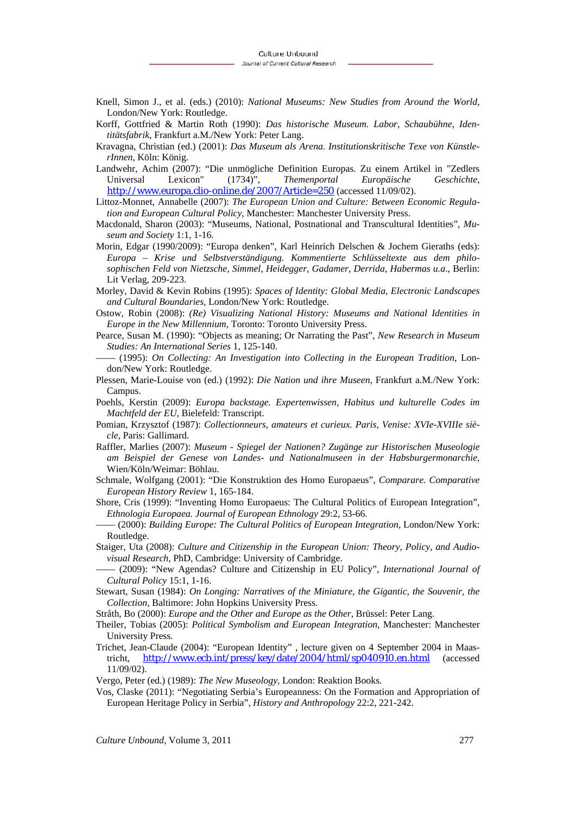- Knell, Simon J., et al. (eds.) (2010): *National Museums: New Studies from Around the World*, London/New York: Routledge.
- Korff, Gottfried & Martin Roth (1990): *Das historische Museum. Labor, Schaubühne, Identitätsfabrik*, Frankfurt a.M./New York: Peter Lang.
- Kravagna, Christian (ed.) (2001): *Das Museum als Arena. Institutionskritische Texe von KünstlerInnen*, Köln: König.
- Landwehr, Achim (2007): "Die unmögliche Definition Europas. Zu einem Artikel in "Zedlers Universal Lexicon" (1734)", *Themenportal Europäische Geschichte*, http://www.europa.clio-online.de/2007/Article=250 (accessed 11/09/02).
- Littoz-Monnet, Annabelle (2007): *The European Union and Culture: Between Economic Regulation and European Cultural Policy*, Manchester: Manchester University Press.
- Macdonald, Sharon (2003): "Museums, National, Postnational and Transcultural Identities", *Museum and Society* 1:1, 1-16.
- Morin, Edgar (1990/2009): "Europa denken", Karl Heinrich Delschen & Jochem Gieraths (eds): *Europa – Krise und Selbstverständigung. Kommentierte Schlüsseltexte aus dem philosophischen Feld von Nietzsche, Simmel, Heidegger, Gadamer, Derrida, Habermas u.a*., Berlin: Lit Verlag, 209-223.
- Morley, David & Kevin Robins (1995): *Spaces of Identity: Global Media, Electronic Landscapes and Cultural Boundaries*, London/New York: Routledge.
- Ostow, Robin (2008): *(Re) Visualizing National History: Museums and National Identities in Europe in the New Millennium*, Toronto: Toronto University Press.
- Pearce, Susan M. (1990): "Objects as meaning; Or Narrating the Past", *New Research in Museum Studies: An International Series* 1, 125-140.
- –––– (1995): *On Collecting: An Investigation into Collecting in the European Tradition*, London/New York: Routledge.
- Plessen, Marie-Louise von (ed.) (1992): *Die Nation und ihre Museen*, Frankfurt a.M./New York: Campus.
- Poehls, Kerstin (2009): *Europa backstage. Expertenwissen, Habitus und kulturelle Codes im Machtfeld der EU*, Bielefeld: Transcript.
- Pomian, Krzysztof (1987): *Collectionneurs, amateurs et curieux. Paris, Venise: XVIe-XVIIIe siècle*, Paris: Gallimard.
- Raffler, Marlies (2007): *Museum Spiegel der Nationen? Zugänge zur Historischen Museologie am Beispiel der Genese von Landes- und Nationalmuseen in der Habsburgermonarchie*, Wien/Köln/Weimar: Böhlau.
- Schmale, Wolfgang (2001): "Die Konstruktion des Homo Europaeus", *Comparare. Comparative European History Review* 1, 165-184.
- Shore, Cris (1999): "Inventing Homo Europaeus: The Cultural Politics of European Integration", *Ethnologia Europaea. Journal of European Ethnology* 29:2, 53-66.
- –––– (2000): *Building Europe: The Cultural Politics of European Integration*, London/New York: Routledge.
- Staiger, Uta (2008): *Culture and Citizenship in the European Union: Theory, Policy, and Audiovisual Research*, PhD, Cambridge: University of Cambridge.
- –––– (2009): "New Agendas? Culture and Citizenship in EU Policy", *International Journal of Cultural Policy* 15:1, 1-16.
- Stewart, Susan (1984): *On Longing: Narratives of the Miniature, the Gigantic, the Souvenir, the Collection*, Baltimore: John Hopkins University Press.
- Stråth, Bo (2000): *Europe and the Other and Europe as the Other*, Brüssel: Peter Lang.
- Theiler, Tobias (2005): *Political Symbolism and European Integration*, Manchester: Manchester University Press.
- Trichet, Jean-Claude (2004): "European Identity" , lecture given on 4 September 2004 in Maastricht, http://www.ecb.int/press/key/date/2004/html/sp040910.en.html (accessed 11/09/02).
- Vergo, Peter (ed.) (1989): *The New Museology*, London: Reaktion Books.
- Vos, Claske (2011): "Negotiating Serbia's Europeanness: On the Formation and Appropriation of European Heritage Policy in Serbia", *History and Anthropology* 22:2, 221-242.